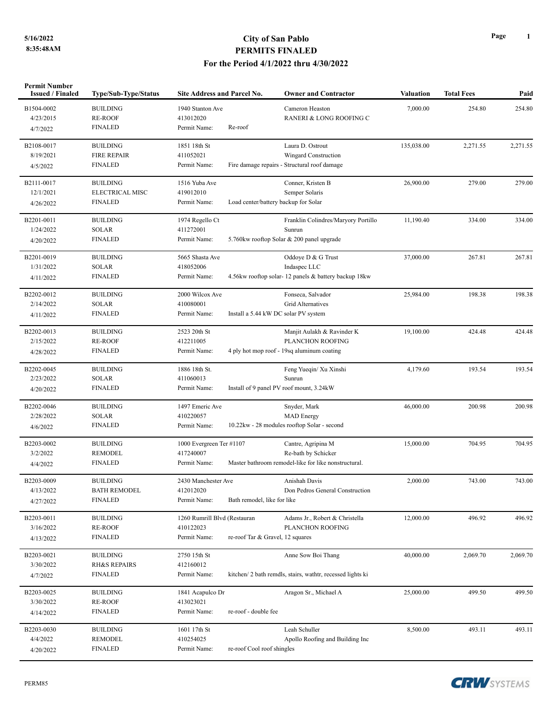## **5/16/2022 City of San Pablo PERMITS FINALED For the Period 4/1/2022 thru 4/30/2022**

| <b>Permit Number</b><br><b>Issued / Finaled</b> | Type/Sub-Type/Status    | <b>Site Address and Parcel No.</b> | <b>Owner and Contractor</b>                               | <b>Valuation</b> | <b>Total Fees</b> | Paid     |
|-------------------------------------------------|-------------------------|------------------------------------|-----------------------------------------------------------|------------------|-------------------|----------|
| B1504-0002                                      | <b>BUILDING</b>         | 1940 Stanton Ave                   | Cameron Heaston                                           | 7,000.00         | 254.80            | 254.80   |
| 4/23/2015                                       | <b>RE-ROOF</b>          | 413012020                          | RANERI & LONG ROOFING C                                   |                  |                   |          |
| 4/7/2022                                        | <b>FINALED</b>          | Permit Name:<br>Re-roof            |                                                           |                  |                   |          |
| B2108-0017                                      | <b>BUILDING</b>         | 1851 18th St                       | Laura D. Ostrout                                          | 135,038.00       | 2,271.55          | 2,271.55 |
| 8/19/2021                                       | <b>FIRE REPAIR</b>      | 411052021                          | Wingard Construction                                      |                  |                   |          |
| 4/5/2022                                        | <b>FINALED</b>          | Permit Name:                       | Fire damage repairs - Structural roof damage              |                  |                   |          |
| B2111-0017                                      | <b>BUILDING</b>         | 1516 Yuba Ave                      | Conner, Kristen B                                         | 26,900.00        | 279.00            | 279.00   |
| 12/1/2021                                       | <b>ELECTRICAL MISC</b>  | 419012010                          | Semper Solaris                                            |                  |                   |          |
| 4/26/2022                                       | <b>FINALED</b>          | Permit Name:                       | Load center/battery backup for Solar                      |                  |                   |          |
| B2201-0011                                      | <b>BUILDING</b>         | 1974 Regello Ct                    | Franklin Colindres/Maryory Portillo                       | 11,190.40        | 334.00            | 334.00   |
| 1/24/2022                                       | <b>SOLAR</b>            | 411272001                          | Sunrun                                                    |                  |                   |          |
| 4/20/2022                                       | <b>FINALED</b>          | Permit Name:                       | 5.760kw rooftop Solar & 200 panel upgrade                 |                  |                   |          |
| B2201-0019                                      | <b>BUILDING</b>         | 5665 Shasta Ave                    | Oddoye D & G Trust                                        | 37,000.00        | 267.81            | 267.81   |
| 1/31/2022                                       | <b>SOLAR</b>            | 418052006                          | Indaspec LLC                                              |                  |                   |          |
| 4/11/2022                                       | <b>FINALED</b>          | Permit Name:                       | 4.56kw rooftop solar-12 panels & battery backup 18kw      |                  |                   |          |
| B2202-0012                                      | <b>BUILDING</b>         | 2000 Wilcox Ave                    | Fonseca, Salvador                                         | 25,984.00        | 198.38            | 198.38   |
| 2/14/2022                                       | <b>SOLAR</b>            | 410080001                          | <b>Grid Alternatives</b>                                  |                  |                   |          |
| 4/11/2022                                       | <b>FINALED</b>          | Permit Name:                       | Install a 5.44 kW DC solar PV system                      |                  |                   |          |
| B2202-0013                                      | <b>BUILDING</b>         | 2523 20th St                       | Manjit Aulakh & Ravinder K                                | 19,100.00        | 424.48            | 424.48   |
| 2/15/2022                                       | <b>RE-ROOF</b>          | 412211005                          | PLANCHON ROOFING                                          |                  |                   |          |
| 4/28/2022                                       | <b>FINALED</b>          | Permit Name:                       | 4 ply hot mop roof - 19sq aluminum coating                |                  |                   |          |
| B2202-0045                                      | <b>BUILDING</b>         | 1886 18th St.                      | Feng Yueqin/ Xu Xinshi                                    | 4,179.60         | 193.54            | 193.54   |
| 2/23/2022                                       | <b>SOLAR</b>            | 411060013                          | Sunrun                                                    |                  |                   |          |
| 4/20/2022                                       | <b>FINALED</b>          | Permit Name:                       | Install of 9 panel PV roof mount, 3.24kW                  |                  |                   |          |
| B2202-0046                                      | <b>BUILDING</b>         | 1497 Emeric Ave                    | Snyder, Mark                                              | 46,000.00        | 200.98            | 200.98   |
| 2/28/2022                                       | <b>SOLAR</b>            | 410220057                          | <b>MAD</b> Energy                                         |                  |                   |          |
| 4/6/2022                                        | <b>FINALED</b>          | Permit Name:                       | 10.22kw - 28 modules rooftop Solar - second               |                  |                   |          |
| B2203-0002                                      | <b>BUILDING</b>         | 1000 Evergreen Ter #1107           | Cantre, Agripina M                                        | 15,000.00        | 704.95            | 704.95   |
| 3/2/2022                                        | <b>REMODEL</b>          | 417240007                          | Re-bath by Schicker                                       |                  |                   |          |
| 4/4/2022                                        | <b>FINALED</b>          | Permit Name:                       | Master bathroom remodel-like for like nonstructural.      |                  |                   |          |
| B2203-0009                                      | <b>BUILDING</b>         | 2430 Manchester Ave                | Anishah Davis                                             | 2,000.00         | 743.00            | 743.00   |
| 4/13/2022                                       | <b>BATH REMODEL</b>     | 412012020                          | Don Pedros General Construction                           |                  |                   |          |
| 4/27/2022                                       | <b>FINALED</b>          | Permit Name:                       | Bath remodel, like for like                               |                  |                   |          |
| B2203-0011                                      | <b>BUILDING</b>         | 1260 Rumrill Blvd (Restauran       | Adams Jr., Robert & Christella                            | 12,000.00        | 496.92            | 496.92   |
| 3/16/2022                                       | <b>RE-ROOF</b>          | 410122023                          | PLANCHON ROOFING                                          |                  |                   |          |
| 4/13/2022                                       | <b>FINALED</b>          | Permit Name:                       | re-roof Tar & Gravel, 12 squares                          |                  |                   |          |
| B2203-0021                                      | <b>BUILDING</b>         | 2750 15th St                       | Anne Sow Boi Thang                                        | 40,000.00        | 2,069.70          | 2,069.70 |
| 3/30/2022                                       | <b>RH&amp;S REPAIRS</b> | 412160012                          |                                                           |                  |                   |          |
| 4/7/2022                                        | <b>FINALED</b>          | Permit Name:                       | kitchen/2 bath remdls, stairs, wathtr, recessed lights ki |                  |                   |          |
| B2203-0025                                      | <b>BUILDING</b>         | 1841 Acapulco Dr                   | Aragon Sr., Michael A                                     | 25,000.00        | 499.50            | 499.50   |
| 3/30/2022                                       | <b>RE-ROOF</b>          | 413023021                          |                                                           |                  |                   |          |
| 4/14/2022                                       | <b>FINALED</b>          | Permit Name:                       | re-roof - double fee                                      |                  |                   |          |
| B2203-0030                                      | <b>BUILDING</b>         | 1601 17th St                       | Leah Schuller                                             | 8,500.00         | 493.11            | 493.11   |
| 4/4/2022                                        | <b>REMODEL</b>          | 410254025                          | Apollo Roofing and Building Inc                           |                  |                   |          |
| 4/20/2022                                       | <b>FINALED</b>          | Permit Name:                       | re-roof Cool roof shingles                                |                  |                   |          |